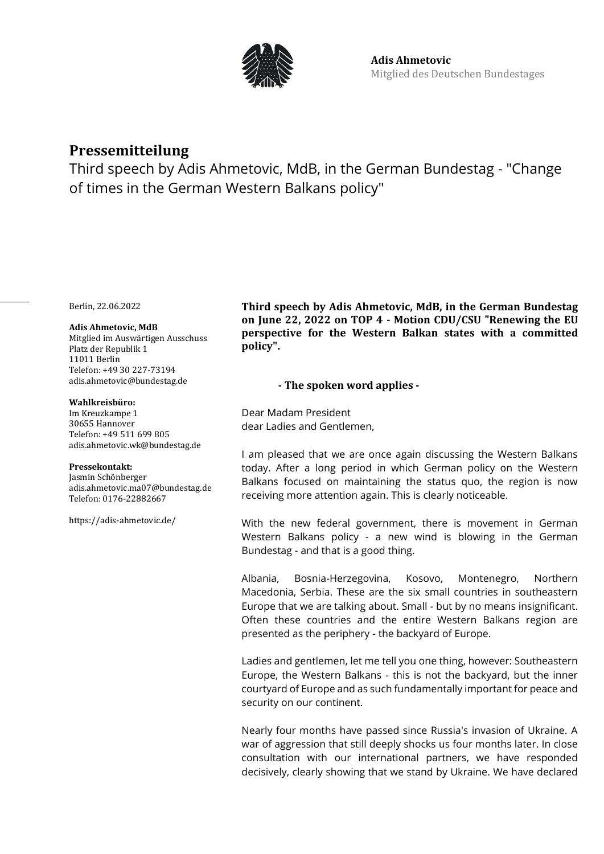

# **Pressemitteilung**

Third speech by Adis Ahmetovic, MdB, in the German Bundestag - "Change of times in the German Western Balkans policy"

Berlin, 22.06.2022

## **Adis Ahmetovic, MdB**

Mitglied im Auswärtigen Ausschuss Platz der Republik 1 11011 Berlin Telefon: +49 30 227-73194 adis.ahmetovic@bundestag.de

#### **Wahlkreisbüro:**

Im Kreuzkampe 1 30655 Hannover Telefon: +49 511 699 805 [adis.ahmetovic.wk@bundestag.de](mailto:adis.ahmetovic.wk@bundestag.de)

## **Pressekontakt:**

Jasmin Schönberger adis.ahmetovic.ma07@bundestag.de Telefon[: 0176-22882667](mailto:adis.ahmetovic.wk@bundestag.de)

<https://adis-ahmetovic.de/>

**Third speech by Adis Ahmetovic, MdB, in the German Bundestag on June 22, 2022 on TOP 4 - Motion CDU/CSU "Renewing the EU perspective for the Western Balkan states with a committed policy".**

# **- The spoken word applies -**

Dear Madam President dear Ladies and Gentlemen,

I am pleased that we are once again discussing the Western Balkans today. After a long period in which German policy on the Western Balkans focused on maintaining the status quo, the region is now receiving more attention again. This is clearly noticeable.

With the new federal government, there is movement in German Western Balkans policy - a new wind is blowing in the German Bundestag - and that is a good thing.

Albania, Bosnia-Herzegovina, Kosovo, Montenegro, Northern Macedonia, Serbia. These are the six small countries in southeastern Europe that we are talking about. Small - but by no means insignificant. Often these countries and the entire Western Balkans region are presented as the periphery - the backyard of Europe.

Ladies and gentlemen, let me tell you one thing, however: Southeastern Europe, the Western Balkans - this is not the backyard, but the inner courtyard of Europe and as such fundamentally important for peace and security on our continent.

Nearly four months have passed since Russia's invasion of Ukraine. A war of aggression that still deeply shocks us four months later. In close consultation with our international partners, we have responded decisively, clearly showing that we stand by Ukraine. We have declared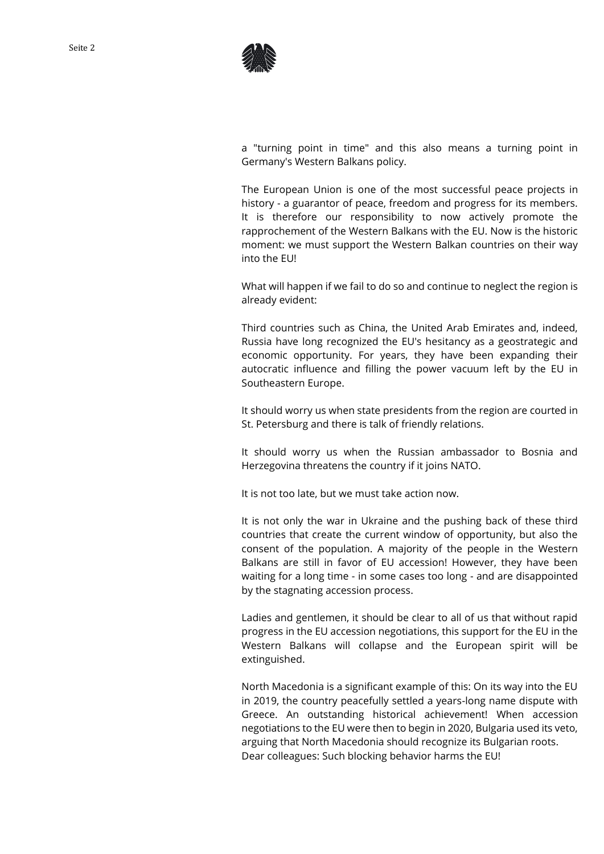



a "turning point in time" and this also means a turning point in Germany's Western Balkans policy.

The European Union is one of the most successful peace projects in history - a guarantor of peace, freedom and progress for its members. It is therefore our responsibility to now actively promote the rapprochement of the Western Balkans with the EU. Now is the historic moment: we must support the Western Balkan countries on their way into the EU!

What will happen if we fail to do so and continue to neglect the region is already evident:

Third countries such as China, the United Arab Emirates and, indeed, Russia have long recognized the EU's hesitancy as a geostrategic and economic opportunity. For years, they have been expanding their autocratic influence and filling the power vacuum left by the EU in Southeastern Europe.

It should worry us when state presidents from the region are courted in St. Petersburg and there is talk of friendly relations.

It should worry us when the Russian ambassador to Bosnia and Herzegovina threatens the country if it joins NATO.

It is not too late, but we must take action now.

It is not only the war in Ukraine and the pushing back of these third countries that create the current window of opportunity, but also the consent of the population. A majority of the people in the Western Balkans are still in favor of EU accession! However, they have been waiting for a long time - in some cases too long - and are disappointed by the stagnating accession process.

Ladies and gentlemen, it should be clear to all of us that without rapid progress in the EU accession negotiations, this support for the EU in the Western Balkans will collapse and the European spirit will be extinguished.

North Macedonia is a significant example of this: On its way into the EU in 2019, the country peacefully settled a years-long name dispute with Greece. An outstanding historical achievement! When accession negotiations to the EU were then to begin in 2020, Bulgaria used its veto, arguing that North Macedonia should recognize its Bulgarian roots. Dear colleagues: Such blocking behavior harms the EU!